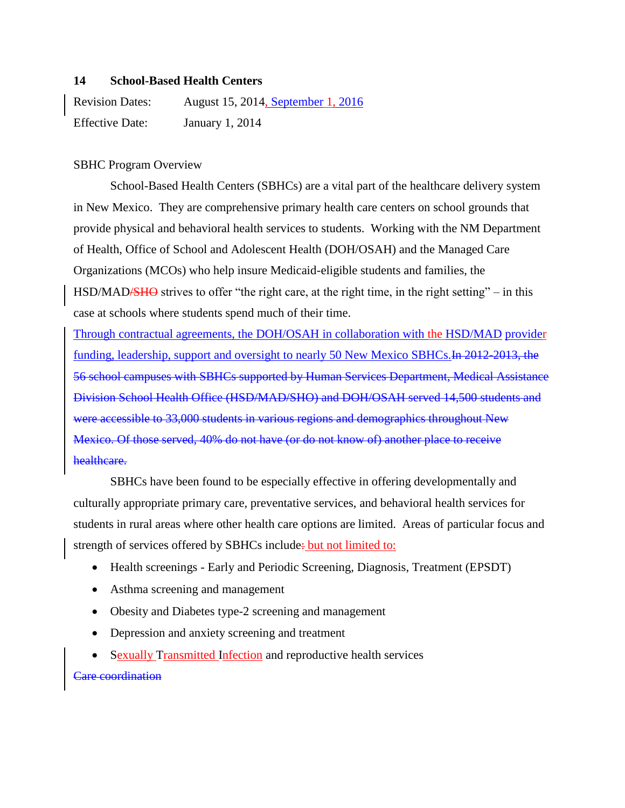### **14 School-Based Health Centers**

Revision Dates: August 15, 2014, September 1, 2016 Effective Date: January 1, 2014

# SBHC Program Overview

School-Based Health Centers (SBHCs) are a vital part of the healthcare delivery system in New Mexico. They are comprehensive primary health care centers on school grounds that provide physical and behavioral health services to students. Working with the NM Department of Health, Office of School and Adolescent Health (DOH/OSAH) and the Managed Care Organizations (MCOs) who help insure Medicaid-eligible students and families, the HSD/MAD/SHO strives to offer "the right care, at the right time, in the right setting" – in this case at schools where students spend much of their time.

Through contractual agreements, the DOH/OSAH in collaboration with the HSD/MAD provider funding, leadership, support and oversight to nearly 50 New Mexico SBHCs. In 2012-2013, the 56 school campuses with SBHCs supported by Human Services Department, Medical Assistance Division School Health Office (HSD/MAD/SHO) and DOH/OSAH served 14,500 students and were accessible to 33,000 students in various regions and demographics throughout New Mexico. Of those served, 40% do not have (or do not know of) another place to receive healthcare.

SBHCs have been found to be especially effective in offering developmentally and culturally appropriate primary care, preventative services, and behavioral health services for students in rural areas where other health care options are limited. Areas of particular focus and strength of services offered by SBHCs include: but not limited to:

- Health screenings Early and Periodic Screening, Diagnosis, Treatment (EPSDT)
- Asthma screening and management
- Obesity and Diabetes type-2 screening and management
- Depression and anxiety screening and treatment
- Sexually Transmitted Infection and reproductive health services

# Care coordination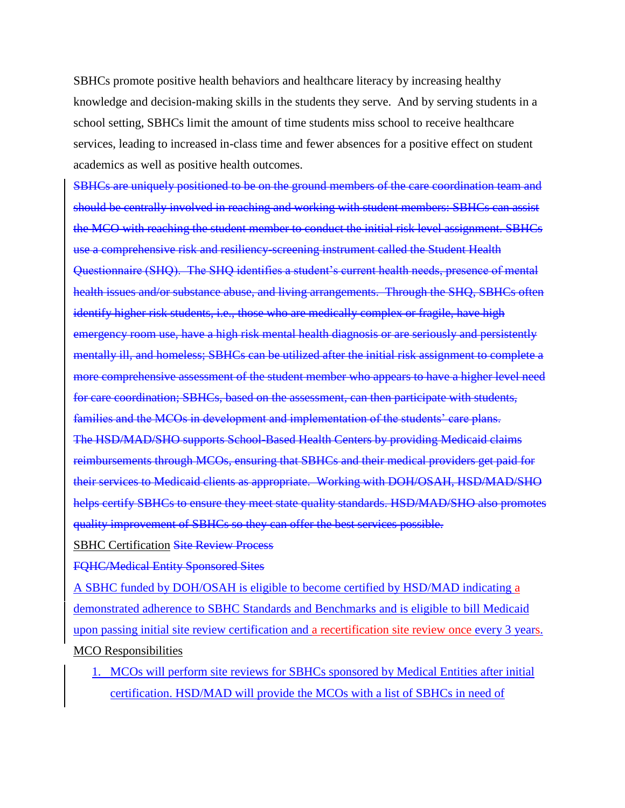SBHCs promote positive health behaviors and healthcare literacy by increasing healthy knowledge and decision-making skills in the students they serve. And by serving students in a school setting, SBHCs limit the amount of time students miss school to receive healthcare services, leading to increased in-class time and fewer absences for a positive effect on student academics as well as positive health outcomes.

SBHCs are uniquely positioned to be on the ground members of the care coordination team and should be centrally involved in reaching and working with student members: SBHCs can assist the MCO with reaching the student member to conduct the initial risk level assignment. SBHCs use a comprehensive risk and resiliency-screening instrument called the Student Health Questionnaire (SHQ). The SHQ identifies a student's current health needs, presence of mental health issues and/or substance abuse, and living arrangements. Through the SHQ, SBHCs often identify higher risk students, i.e., those who are medically complex or fragile, have high emergency room use, have a high risk mental health diagnosis or are seriously and persistently mentally ill, and homeless; SBHCs can be utilized after the initial risk assignment to complete a more comprehensive assessment of the student member who appears to have a higher level need for care coordination; SBHCs, based on the assessment, can then participate with students, families and the MCOs in development and implementation of the students' care plans. The HSD/MAD/SHO supports School-Based Health Centers by providing Medicaid claims reimbursements through MCOs, ensuring that SBHCs and their medical providers get paid for their services to Medicaid clients as appropriate. Working with DOH/OSAH, HSD/MAD/SHO helps certify SBHCs to ensure they meet state quality standards. HSD/MAD/SHO also promotes quality improvement of SBHCs so they can offer the best services possible.

SBHC Certification Site Review Process

FQHC/Medical Entity Sponsored Sites

A SBHC funded by DOH/OSAH is eligible to become certified by HSD/MAD indicating a demonstrated adherence to SBHC Standards and Benchmarks and is eligible to bill Medicaid upon passing initial site review certification and a recertification site review once every 3 years. MCO Responsibilities

1. MCOs will perform site reviews for SBHCs sponsored by Medical Entities after initial certification. HSD/MAD will provide the MCOs with a list of SBHCs in need of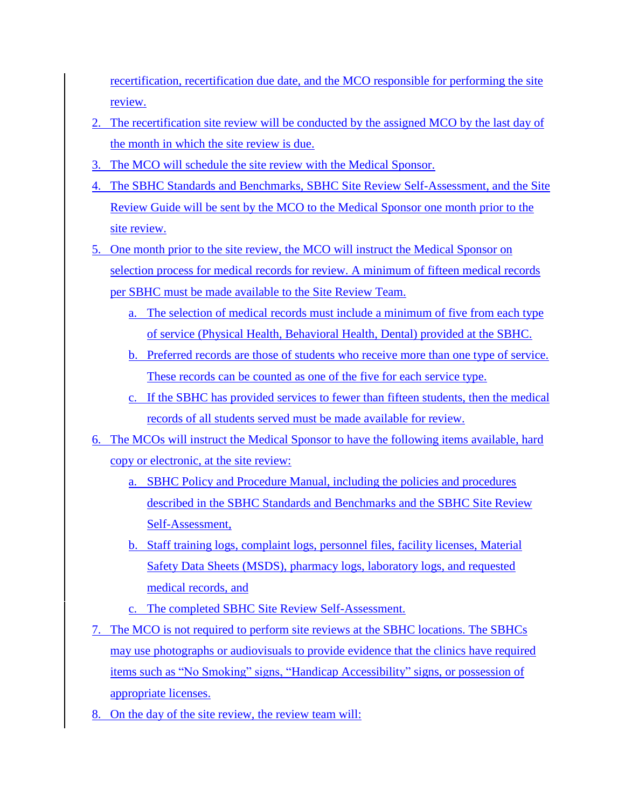recertification, recertification due date, and the MCO responsible for performing the site review.

- 2. The recertification site review will be conducted by the assigned MCO by the last day of the month in which the site review is due.
- 3. The MCO will schedule the site review with the Medical Sponsor.
- 4. The SBHC Standards and Benchmarks, SBHC Site Review Self-Assessment, and the Site Review Guide will be sent by the MCO to the Medical Sponsor one month prior to the site review.
- 5. One month prior to the site review, the MCO will instruct the Medical Sponsor on selection process for medical records for review. A minimum of fifteen medical records per SBHC must be made available to the Site Review Team.
	- a. The selection of medical records must include a minimum of five from each type of service (Physical Health, Behavioral Health, Dental) provided at the SBHC.
	- b. Preferred records are those of students who receive more than one type of service. These records can be counted as one of the five for each service type.
	- c. If the SBHC has provided services to fewer than fifteen students, then the medical records of all students served must be made available for review.
- 6. The MCOs will instruct the Medical Sponsor to have the following items available, hard copy or electronic, at the site review:
	- a. SBHC Policy and Procedure Manual, including the policies and procedures described in the SBHC Standards and Benchmarks and the SBHC Site Review Self-Assessment,
	- b. Staff training logs, complaint logs, personnel files, facility licenses, Material Safety Data Sheets (MSDS), pharmacy logs, laboratory logs, and requested medical records, and
	- c. The completed SBHC Site Review Self-Assessment.
- 7. The MCO is not required to perform site reviews at the SBHC locations. The SBHCs may use photographs or audiovisuals to provide evidence that the clinics have required items such as "No Smoking" signs, "Handicap Accessibility" signs, or possession of appropriate licenses.
- 8. On the day of the site review, the review team will: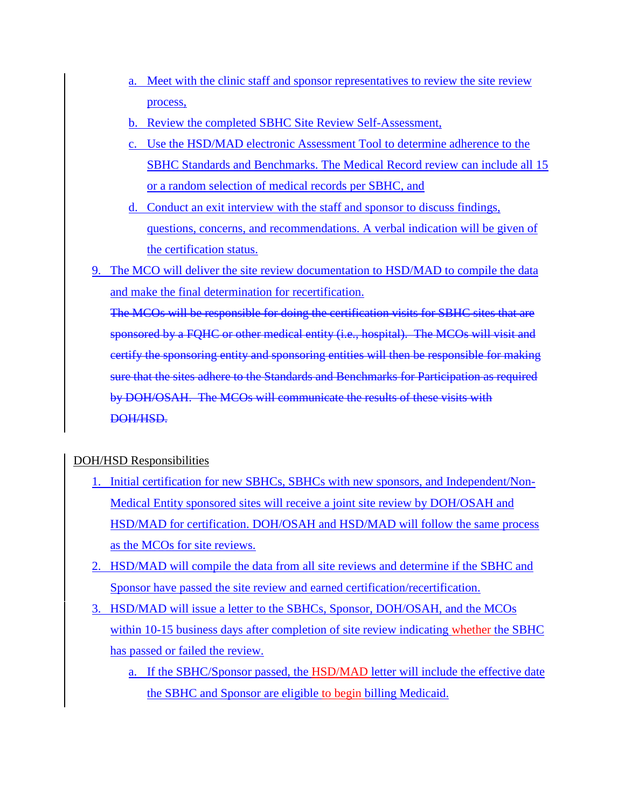- a. Meet with the clinic staff and sponsor representatives to review the site review process,
- b. Review the completed SBHC Site Review Self-Assessment,
- c. Use the HSD/MAD electronic Assessment Tool to determine adherence to the SBHC Standards and Benchmarks. The Medical Record review can include all 15 or a random selection of medical records per SBHC, and
- d. Conduct an exit interview with the staff and sponsor to discuss findings, questions, concerns, and recommendations. A verbal indication will be given of the certification status.
- 9. The MCO will deliver the site review documentation to HSD/MAD to compile the data and make the final determination for recertification.

The MCOs will be responsible for doing the certification visits for SBHC sites that are sponsored by a FQHC or other medical entity (i.e., hospital). The MCOs will visit and certify the sponsoring entity and sponsoring entities will then be responsible for making sure that the sites adhere to the Standards and Benchmarks for Participation as required by DOH/OSAH. The MCOs will communicate the results of these visits with DOH/HSD.

# DOH/HSD Responsibilities

- 1. Initial certification for new SBHCs, SBHCs with new sponsors, and Independent/Non-Medical Entity sponsored sites will receive a joint site review by DOH/OSAH and HSD/MAD for certification. DOH/OSAH and HSD/MAD will follow the same process as the MCOs for site reviews.
- 2. HSD/MAD will compile the data from all site reviews and determine if the SBHC and Sponsor have passed the site review and earned certification/recertification.
- 3. HSD/MAD will issue a letter to the SBHCs, Sponsor, DOH/OSAH, and the MCOs within 10-15 business days after completion of site review indicating whether the SBHC has passed or failed the review.
	- a. If the SBHC/Sponsor passed, the HSD/MAD letter will include the effective date the SBHC and Sponsor are eligible to begin billing Medicaid.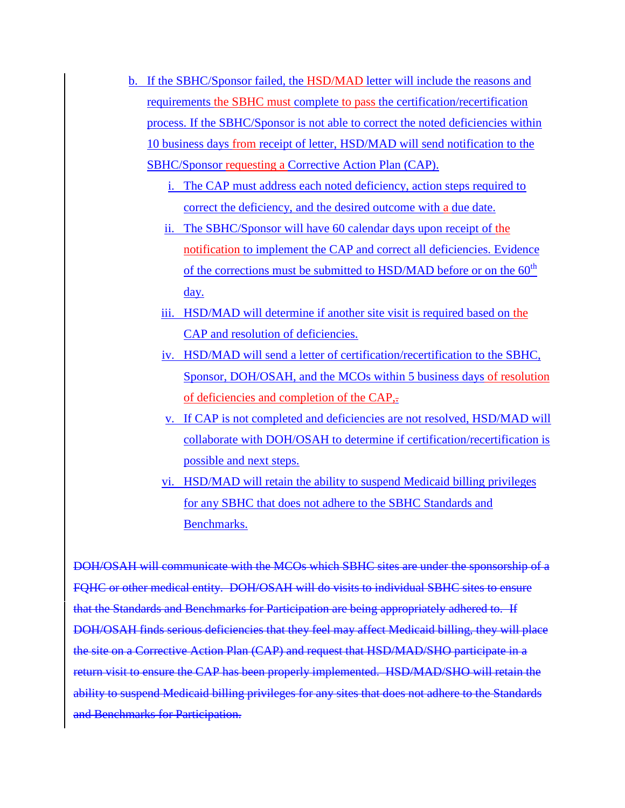- b. If the SBHC/Sponsor failed, the HSD/MAD letter will include the reasons and requirements the SBHC must complete to pass the certification/recertification process. If the SBHC/Sponsor is not able to correct the noted deficiencies within 10 business days from receipt of letter, HSD/MAD will send notification to the SBHC/Sponsor requesting a Corrective Action Plan (CAP).
	- i. The CAP must address each noted deficiency, action steps required to correct the deficiency, and the desired outcome with a due date.
	- ii. The SBHC/Sponsor will have 60 calendar days upon receipt of the notification to implement the CAP and correct all deficiencies. Evidence of the corrections must be submitted to HSD/MAD before or on the  $60<sup>th</sup>$ day.
	- iii. HSD/MAD will determine if another site visit is required based on the CAP and resolution of deficiencies.
	- iv. HSD/MAD will send a letter of certification/recertification to the SBHC, Sponsor, DOH/OSAH, and the MCOs within 5 business days of resolution of deficiencies and completion of the CAP,.
	- v. If CAP is not completed and deficiencies are not resolved, HSD/MAD will collaborate with DOH/OSAH to determine if certification/recertification is possible and next steps.
	- vi. HSD/MAD will retain the ability to suspend Medicaid billing privileges for any SBHC that does not adhere to the SBHC Standards and Benchmarks.

DOH/OSAH will communicate with the MCOs which SBHC sites are under the sponsorship of a FQHC or other medical entity. DOH/OSAH will do visits to individual SBHC sites to ensure that the Standards and Benchmarks for Participation are being appropriately adhered to. If DOH/OSAH finds serious deficiencies that they feel may affect Medicaid billing, they will place the site on a Corrective Action Plan (CAP) and request that HSD/MAD/SHO participate in a return visit to ensure the CAP has been properly implemented. HSD/MAD/SHO will retain the ability to suspend Medicaid billing privileges for any sites that does not adhere to the Standards and Benchmarks for Participation.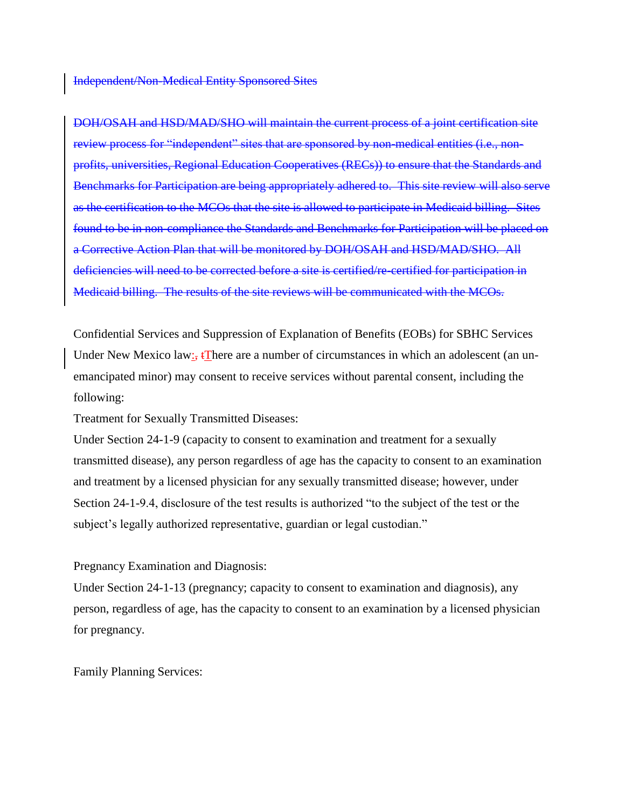Independent/Non-Medical Entity Sponsored Sites

DOH/OSAH and HSD/MAD/SHO will maintain the current process of a joint certification site review process for "independent" sites that are sponsored by non-medical entities (i.e., nonprofits, universities, Regional Education Cooperatives (RECs)) to ensure that the Standards and Benchmarks for Participation are being appropriately adhered to. This site review will also serve as the certification to the MCOs that the site is allowed to participate in Medicaid billing. Sites found to be in non-compliance the Standards and Benchmarks for Participation will be placed on a Corrective Action Plan that will be monitored by DOH/OSAH and HSD/MAD/SHO. All deficiencies will need to be corrected before a site is certified/re-certified for participation in Medicaid billing. The results of the site reviews will be communicated with the MCOs.

Confidential Services and Suppression of Explanation of Benefits (EOBs) for SBHC Services Under New Mexico law: $\frac{1}{2}$  There are a number of circumstances in which an adolescent (an unemancipated minor) may consent to receive services without parental consent, including the following:

Treatment for Sexually Transmitted Diseases:

Under Section 24-1-9 (capacity to consent to examination and treatment for a sexually transmitted disease), any person regardless of age has the capacity to consent to an examination and treatment by a licensed physician for any sexually transmitted disease; however, under Section 24-1-9.4, disclosure of the test results is authorized "to the subject of the test or the subject's legally authorized representative, guardian or legal custodian."

Pregnancy Examination and Diagnosis:

Under Section 24-1-13 (pregnancy; capacity to consent to examination and diagnosis), any person, regardless of age, has the capacity to consent to an examination by a licensed physician for pregnancy.

Family Planning Services: